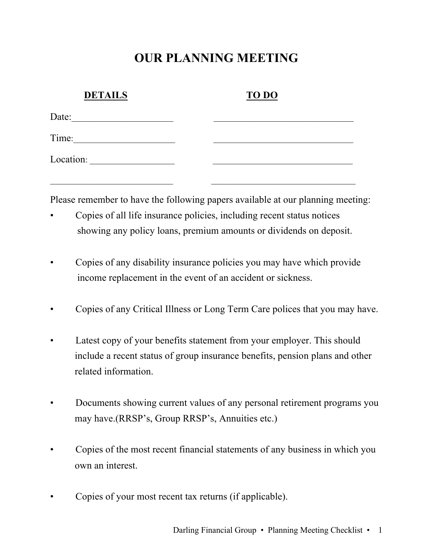# **OUR PLANNING MEETING**

| <b>DETAILS</b> | <b>TO DO</b> |  |
|----------------|--------------|--|
| Date:          |              |  |
| Time:          |              |  |
| Location:      |              |  |

Please remember to have the following papers available at our planning meeting:

• Copies of all life insurance policies, including recent status notices showing any policy loans, premium amounts or dividends on deposit.

 $\mathcal{L}_\text{max}$  , and the contribution of the contribution of the contribution of the contribution of the contribution of the contribution of the contribution of the contribution of the contribution of the contribution of t

- Copies of any disability insurance policies you may have which provide income replacement in the event of an accident or sickness.
- Copies of any Critical Illness or Long Term Care polices that you may have.
- Latest copy of your benefits statement from your employer. This should include a recent status of group insurance benefits, pension plans and other related information.
- Documents showing current values of any personal retirement programs you may have.(RRSP's, Group RRSP's, Annuities etc.)
- Copies of the most recent financial statements of any business in which you own an interest.
- Copies of your most recent tax returns (if applicable).